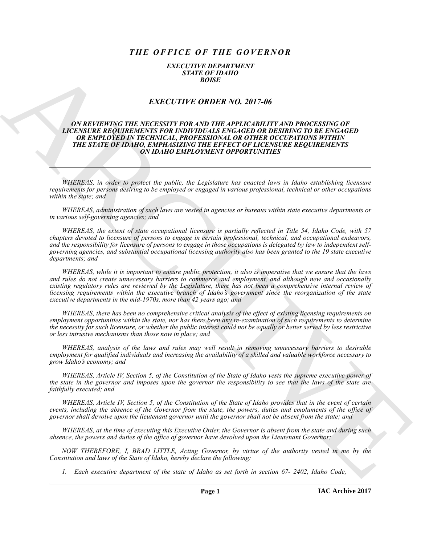# *THE OFFICE OF THE GOVERNOR*

### *EXECUTIVE DEPARTMENT STATE OF IDAHO BOISE*

## *EXECUTIVE ORDER NO. 2017-06*

### *ON REVIEWING THE NECESSITY FOR AND THE APPLICABILITY AND PROCESSING OF LICENSURE REQUIREMENTS FOR INDIVIDUALS ENGAGED OR DESIRING TO BE ENGAGED OR EMPLOYED IN TECHNICAL, PROFESSIONAL OR OTHER OCCUPATIONS WITHIN THE STATE OF IDAHO, EMPHASIZING THE EFFECT OF LICENSURE REQUIREMENTS ON IDAHO EMPLOYMENT OPPORTUNITIES*

*WHEREAS, in order to protect the public, the Legislature has enacted laws in Idaho establishing licensure requirements for persons desiring to be employed or engaged in various professional, technical or other occupations within the state; and*

*WHEREAS, administration of such laws are vested in agencies or bureaus within state executive departments or in various self-governing agencies; and*

**EXACTLY FIFT ORDER NO.** 2017-06<br> **EXACTLY FIFT ORDER NO.** 2017-06<br> **EXACTLY FIFT ORDER NO.** 2017-06<br> **CONSECTION CONSECTION** (**CONSECTION AND THE APPLIC BULLITY AND PROCESSING OF<br>
LOCALIZER IN THE NECESSITY FOR AND THE A** *WHEREAS, the extent of state occupational licensure is partially reflected in Title 54, Idaho Code, with 57 chapters devoted to licensure of persons to engage in certain professional, technical, and occupational endeavors, and the responsibility for licensure of persons to engage in those occupations is delegated by law to independent selfgoverning agencies, and substantial occupational licensing authority also has been granted to the 19 state executive departments; and*

*WHEREAS, while it is important to ensure public protection, it also is imperative that we ensure that the laws and rules do not create unnecessary barriers to commerce and employment, and although new and occasionally existing regulatory rules are reviewed by the Legislature, there has not been a comprehensive internal review of licensing requirements within the executive branch of Idaho's government since the reorganization of the state executive departments in the mid-1970s, more than 42 years ago; and*

*WHEREAS, there has been no comprehensive critical analysis of the effect of existing licensing requirements on employment opportunities within the state, nor has there been any re-examination of such requirements to determine the necessity for such licensure, or whether the public interest could not be equally or better served by less restrictive or less intrusive mechanisms than those now in place; and*

*WHEREAS, analysis of the laws and rules may well result in removing unnecessary barriers to desirable employment for qualified individuals and increasing the availability of a skilled and valuable workforce necessary to grow Idaho's economy; and*

*WHEREAS, Article IV, Section 5, of the Constitution of the State of Idaho vests the supreme executive power of the state in the governor and imposes upon the governor the responsibility to see that the laws of the state are faithfully executed; and*

*WHEREAS, Article IV, Section 5, of the Constitution of the State of Idaho provides that in the event of certain events, including the absence of the Governor from the state, the powers, duties and emoluments of the office of governor shall devolve upon the lieutenant governor until the governor shall not be absent from the state; and*

*WHEREAS, at the time of executing this Executive Order, the Governor is absent from the state and during such absence, the powers and duties of the office of governor have devolved upon the Lieutenant Governor;*

*NOW THEREFORE, I, BRAD LITTLE, Acting Governor, by virtue of the authority vested in me by the Constitution and laws of the State of Idaho, hereby declare the following:*

*1. Each executive department of the state of Idaho as set forth in section 67- 2402, Idaho Code,*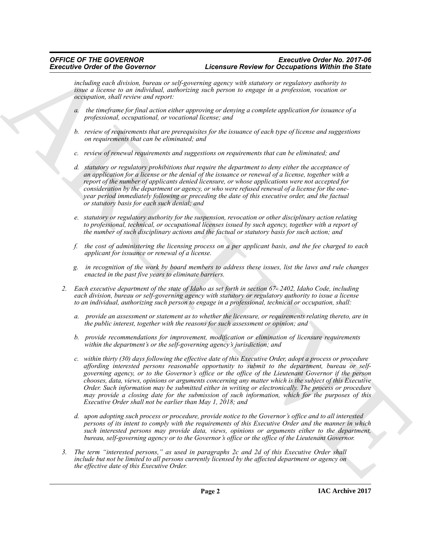*including each division, bureau or self-governing agency with statutory or regulatory authority to issue a license to an individual, authorizing such person to engage in a profession, vocation or occupation, shall review and report:*

- *a. the timeframe for final action either approving or denying a complete application for issuance of a professional, occupational, or vocational license; and*
- *b. review of requirements that are prerequisites for the issuance of each type of license and suggestions on requirements that can be eliminated; and*
- *c. review of renewal requirements and suggestions on requirements that can be eliminated; and*
- *d. statutory or regulatory prohibitions that require the department to deny either the acceptance of an application for a license or the denial of the issuance or renewal of a license, together with a report of the number of applicants denied licensure, or whose applications were not accepted for consideration by the department or agency, or who were refused renewal of a license for the oneyear period immediately following or preceding the date of this executive order, and the factual or statutory basis for each such denial; and*
- *e. statutory or regulatory authority for the suspension, revocation or other disciplinary action relating to professional, technical, or occupational licenses issued by such agency, together with a report of the number of such disciplinary actions and the factual or statutory basis for such action; and*
- *f. the cost of administering the licensing process on a per applicant basis, and the fee charged to each applicant for issuance or renewal of a license.*
- *g. in recognition of the work by board members to address these issues, list the laws and rule changes enacted in the past five years to eliminate barriers.*
- *2. Each executive department of the state of Idaho as set forth in section 67- 2402, Idaho Code, including each division, bureau or self-governing agency with statutory or regulatory authority to issue a license to an individual, authorizing such person to engage in a professional, technical or occupation, shall:*
	- *a. provide an assessment or statement as to whether the licensure, or requirements relating thereto, are in the public interest, together with the reasons for such assessment or opinion; and*
	- *b. provide recommendations for improvement, modification or elimination of licensure requirements within the department's or the self-governing agency's jurisdiction; and*
- Exercise the first Convertise of the Convertise Convertise for the the convertise of the convertise of the convertise of the convertise of the convertise of the convertise of the convertise of the convertise of the conver *c. within thirty (30) days following the effective date of this Executive Order, adopt a process or procedure affording interested persons reasonable opportunity to submit to the department, bureau or selfgoverning agency, or to the Governor's office or the office of the Lieutenant Governor if the person chooses, data, views, opinions or arguments concerning any matter which is the subject of this Executive Order. Such information may be submitted either in writing or electronically. The process or procedure may provide a closing date for the submission of such information, which for the purposes of this Executive Order shall not be earlier than May 1, 2018; and*
	- *d. upon adopting such process or procedure, provide notice to the Governor's office and to all interested persons of its intent to comply with the requirements of this Executive Order and the manner in which such interested persons may provide data, views, opinions or arguments either to the department, bureau, self-governing agency or to the Governor's office or the office of the Lieutenant Governor.*
	- *3. The term "interested persons," as used in paragraphs 2c and 2d of this Executive Order shall include but not be limited to all persons currently licensed by the affected department or agency on the effective date of this Executive Order.*